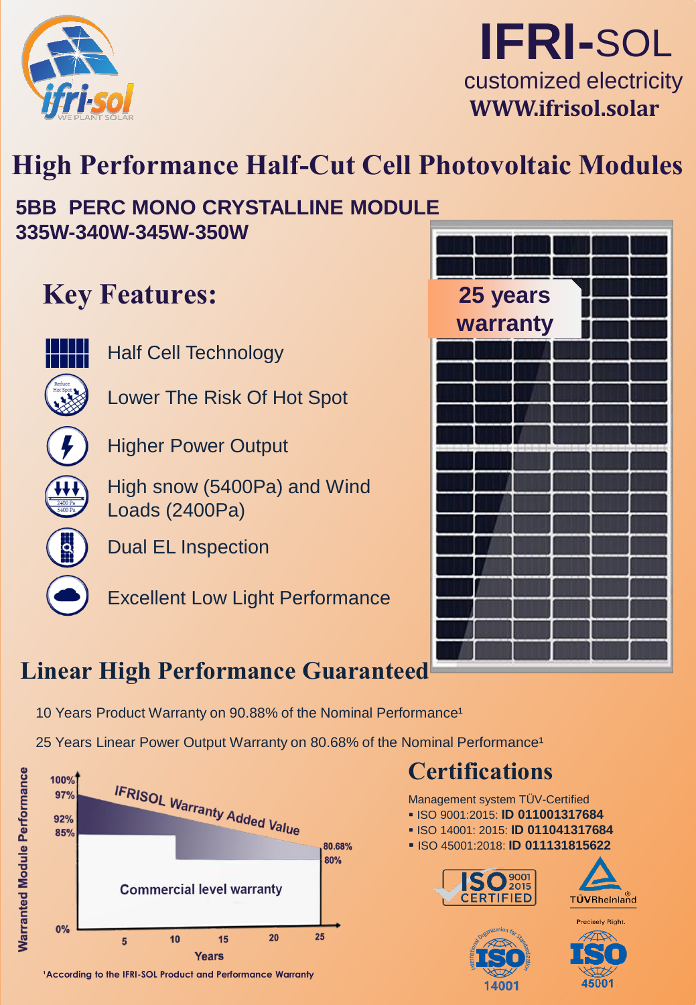



## **High Performance Half-Cut Cell Photovoltaic Modules**

### **5BB PERC MONO CRYSTALLINE MODULE 335W-340W-345W-350W**

### **Key Features:**

- 
- Half Cell Technology
- Lower The Risk Of Hot Spot
- 

Higher Power Output

High snow (5400Pa) and Wind Loads (2400Pa)

Dual EL Inspection

Excellent Low Light Performance



### **Linear High Performance Guaranteed**

- 10 Years Product Warranty on 90.88% of the Nominal Performance<sup>1</sup>
- 25 Years Linear Power Output Warranty on 80.68% of the Nominal Performance<sup>1</sup>



<sup>1</sup> According to the IFRI-SOL Product and Performance Warranty

### **Certifications**

Management system TÜV-Certified

- ISO 9001:2015: **ID 011001317684**
- ISO 14001: 2015: **ID 011041317684**
- ISO 45001:2018: **ID 011131815622**









45001